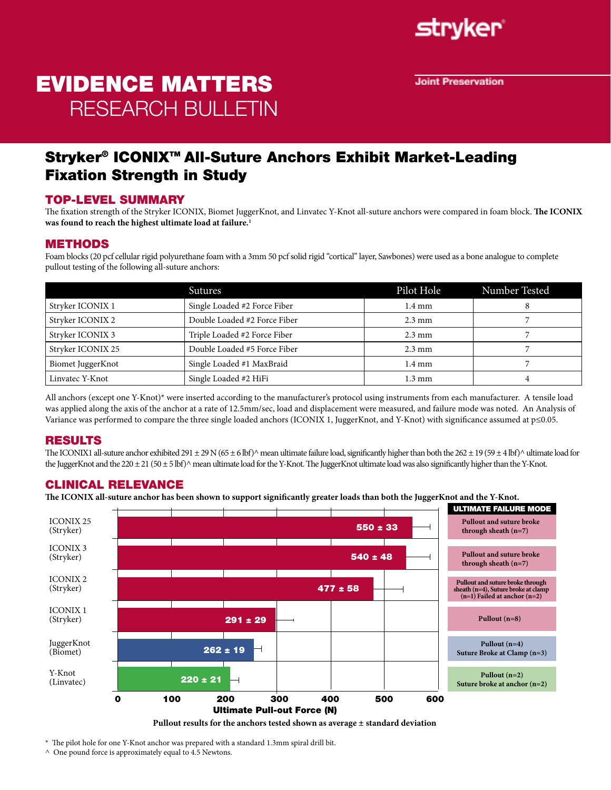

**Joint Preservation** 

# EVIDENCE MATTERS RESEARCH BULLETIN

### Stryker® ICONIX™ All-Suture Anchors Exhibit Market-Leading Fixation Strength in Study

#### TOP-LEVEL SUMMARY

The fixation strength of the Stryker ICONIX, Biomet JuggerKnot, and Linvatec Y-Knot all-suture anchors were compared in foam block. **The ICONIX was found to reach the highest ultimate load at failure.1** 

#### METHODS

Foam blocks (20 pcf cellular rigid polyurethane foam with a 3mm 50 pcf solid rigid "cortical" layer, Sawbones) were used as a bone analogue to complete pullout testing of the following all-suture anchors:

|                   | <b>Sutures</b>               | Pilot Hole       | Number Tested |
|-------------------|------------------------------|------------------|---------------|
| Stryker ICONIX 1  | Single Loaded #2 Force Fiber | $1.4 \text{ mm}$ |               |
| Stryker ICONIX 2  | Double Loaded #2 Force Fiber | $2.3 \text{ mm}$ |               |
| Stryker ICONIX 3  | Triple Loaded #2 Force Fiber | $2.3 \text{ mm}$ |               |
| Stryker ICONIX 25 | Double Loaded #5 Force Fiber | $2.3 \text{ mm}$ |               |
| Biomet JuggerKnot | Single Loaded #1 MaxBraid    | $1.4 \text{ mm}$ |               |
| Linvatec Y-Knot   | Single Loaded #2 HiFi        | $1.3 \text{ mm}$ |               |

All anchors (except one Y-Knot)\* were inserted according to the manufacturer's protocol using instruments from each manufacturer. A tensile load was applied along the axis of the anchor at a rate of 12.5mm/sec, load and displacement were measured, and failure mode was noted. An Analysis of Variance was performed to compare the three single loaded anchors (ICONIX 1, JuggerKnot, and Y-Knot) with significance assumed at p≤0.05.

#### RESULTS

The ICONIX1 all-suture anchor exhibited 291 ± 29 N (65 ± 6 lbf)^ mean ultimate failure load, significantly higher than both the 262 ± 19 (59 ± 4 lbf)^ ultimate load for the JuggerKnot and the 220  $\pm 21$  (50  $\pm$  5 lbf) $\land$  mean ultimate load for the Y-Knot. The JuggerKnot ultimate load was also significantly higher than the Y-Knot.

#### CLINICAL RELEVANCE

**The ICONIX all-suture anchor has been shown to support significantly greater loads than both the JuggerKnot and the Y-Knot.**





\* The pilot hole for one Y-Knot anchor was prepared with a standard 1.3mm spiral drill bit.

 $\land$  One pound force is approximately equal to 4.5 Newtons.